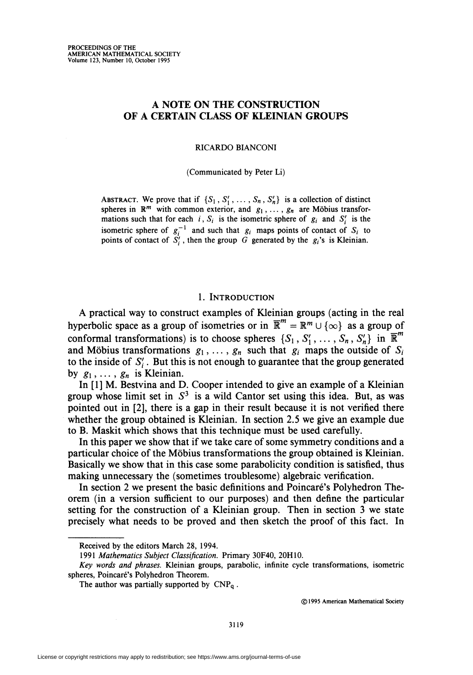# A NOTE ON THE CONSTRUCTION OF A CERTAIN CLASS OF KLEINIAN GROUPS

RICARDO BIANCONI

(Communicated by Peter Li)

ABSTRACT. We prove that if  $\{S_1, S'_1, \ldots, S_n, S'_n\}$  is a collection of distinct spheres in  $\mathbb{R}^m$  with common exterior, and  $g_1, \ldots, g_n$  are Möbius transformations such that for each i,  $S_i$  is the isometric sphere of  $g_i$  and  $S'_i$  is the isometric sphere of  $g_i^{-1}$  and such that  $g_i$  maps points of contact of  $S_i$  to points of contact of  $S_i'$ , then the group G generated by the  $g_i$ 's is Kleinian.

### 1. Introduction

A practical way to construct examples of Kleinian groups (acting in the real hyperbolic space as a group of isometries or in  $\mathbb{R}^m = \mathbb{R}^m \cup \{\infty\}$  as a group of conformal transformations) is to choose spheres  $\{S_1, S'_1, \ldots, S_n, S'_n\}$  in  $\mathbb{R}^m$ and Möbius transformations  $g_1, \ldots, g_n$  such that  $g_i$  maps the outside of  $S_i$ to the inside of  $S_i'$ . But this is not enough to guarantee that the group generated by  $g_1, \ldots, g_n$  is Kleinian.

In [1] M. Bestvina and D. Cooper intended to give an example of a Kleinian group whose limit set in  $S<sup>3</sup>$  is a wild Cantor set using this idea. But, as was pointed out in [2], there is a gap in their result because it is not verified there whether the group obtained is Kleinian. In section 2.5 we give an example due to B. Maskit which shows that this technique must be used carefully.

In this paper we show that if we take care of some symmetry conditions and a particular choice of the Möbius transformations the group obtained is Kleinian. Basically we show that in this case some parabolicity condition is satisfied, thus making unnecessary the (sometimes troublesome) algebraic verification.

In section 2 we present the basic definitions and Poincaré's Polyhedron Theorem (in a version sufficient to our purposes) and then define the particular setting for the construction of a Kleinian group. Then in section 3 we state precisely what needs to be proved and then sketch the proof of this fact. In

© 1995 American Mathematical Society

Received by the editors March 28, 1994.

<sup>1991</sup> Mathematics Subject Classification. Primary 30F40, 20H10.

Key words and phrases. Kleinian groups, parabolic, infinite cycle transformations, isometric spheres, Poincaré's Polyhedron Theorem.

The author was partially supported by  $CNP<sub>q</sub>$ .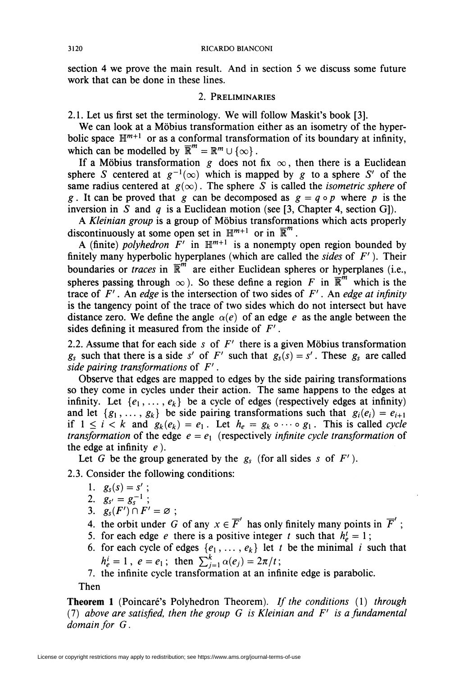section 4 we prove the main result. And in section 5 we discuss some future work that can be done in these lines.

## 2. Preliminaries

2.1. Let us first set the terminology. We will follow Maskit's book [3].

We can look at a Möbius transformation either as an isometry of the hyperbolic space  $\mathbb{H}^{m+1}$  or as a conformal transformation of its boundary at infinity, which can be modelled by  $\overline{\mathbb{R}}^m = \mathbb{R}^m \cup \{\infty\}$ .

If a Möbius transformation g does not fix  $\infty$ , then there is a Euclidean sphere S centered at  $g^{-1}(\infty)$  which is mapped by g to a sphere S' of the same radius centered at  $g(\infty)$ . The sphere S is called the *isometric sphere* of g. It can be proved that g can be decomposed as  $g = q \circ p$  where p is the inversion in S and q is a Euclidean motion (see [3, Chapter 4, section G]).

A Kleinian group is a group of Möbius transformations which acts properly discontinuously at some open set in  $\mathbb{H}^{m+1}$  or in  $\mathbb{R}^m$ .

A (finite) polyhedron  $\vec{F}'$  in  $\mathbb{H}^{m+1}$  is a nonempty open region bounded by finitely many hyperbolic hyperplanes (which are called the *sides* of  $F'$ ). Their boundaries or *traces* in  $\overline{\mathbb{R}}^m$  are either Euclidean spheres or hyperplanes (i.e., spheres passing through  $\infty$ ). So these define a region F in  $\overline{\mathbb{R}}^m$  which is the trace of  $F'$ . An edge is the intersection of two sides of  $F'$ . An edge at infinity is the tangency point of the trace of two sides which do not intersect but have distance zero. We define the angle  $\alpha(e)$  of an edge e as the angle between the sides defining it measured from the inside of  $F'$ .

2.2. Assume that for each side s of  $F'$  there is a given Möbius transformation  $g_s$  such that there is a side s' of F' such that  $g_s(s) = s'$ . These  $g_s$  are called side pairing transformations of  $F'$ .

Observe that edges are mapped to edges by the side pairing transformations so they come in cycles under their action. The same happens to the edges at infinity. Let  $\{e_1, \ldots, e_k\}$  be a cycle of edges (respectively edges at infinity) and let  $\{g_1, \ldots, g_k\}$  be side pairing transformations such that  $g_i(e_i) = e_{i+1}$ if  $1 \leq i \leq k$  and  $g_k(e_k) = e_1$ . Let  $h_e = g_k \circ \cdots \circ g_1$ . This is called cycle transformation of the edge  $e = e_1$  (respectively infinite cycle transformation of the edge at infinity  $e$ ).

Let G be the group generated by the  $g_s$  (for all sides s of  $F'$ ).

2.3. Consider the following conditions:

- 1.  $g_s(s) = s'$ ;
- 2.  $g_{s'} = g_{s}$ ;
- 3.  $g_s(F') \cap F' = \varnothing$
- 4. the orbit under G of any  $x \in \overline{F}'$  has only finitely many points in  $\overline{F}'$ ;
- 5. for each edge e there is a positive integer t such that  $h_e^t = 1$ ;
- 6. for each cycle of edges  $\{e_1, \ldots, e_k\}$  let t be the minimal i such that  $h_e^i = 1$ ,  $e = e_1$ ; then  $\sum_{i=1}^k \alpha(e_i) = 2\pi/t$
- 7. the infinite cycle transformation at an infinite edge is parabolic.

Then

Theorem 1 (Poincaré's Polyhedron Theorem). If the conditions (1) through (7) above are satisfied, then the group  $G$  is Kleinian and  $F'$  is a fundamental domain for G.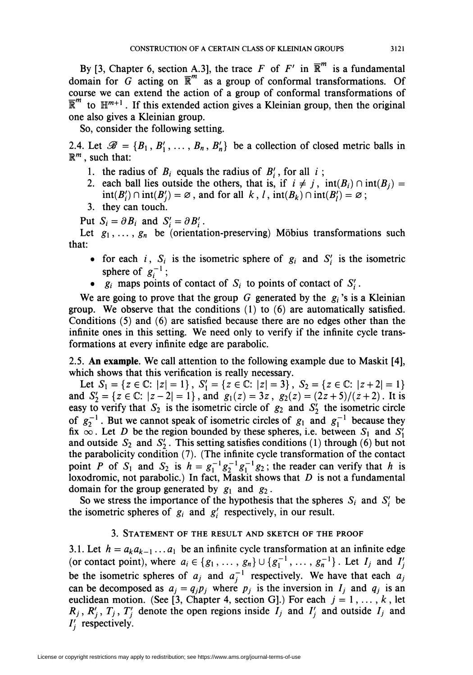By [3, Chapter 6, section A.3], the trace F of F' in  $\overline{\mathbb{R}}^m$  is a fundamental domain for G acting on  $\overline{\mathbb{R}}^m$  as a group of conformal transformations. Of course we can extend the action of a group of conformai transformations of  $\overline{\mathbb{R}}^m$  to  $\mathbb{H}^{m+1}$ . If this extended action gives a Kleinian group, then the original one also gives a Kleinian group.

So, consider the following setting.

2.4. Let  $\mathscr{B} = \{B_1, B'_1, \ldots, B_n, B'_n\}$  be a collection of closed metric balls in  $\mathbb{R}^m$ , such that:

- 1. the radius of  $B_i$  equals the radius of  $B_i'$ , for all i;
- 2. each ball lies outside the others, that is, if  $i \neq j$ ,  $int(B_i) \cap int(B_j) =$  $int(B'_i) \cap int(B'_i) = \emptyset$ , and for all k, l,  $int(B_k) \cap int(B'_i) = \emptyset$ ;
- 3. they can touch.

Put  $S_i = \partial B_i$  and  $S_i' = \partial B_i'$ .

Let  $g_1, \ldots, g_n$  be (orientation-preserving) Möbius transformations such that:

- for each i,  $S_i$  is the isometric sphere of  $g_i$  and  $S'_i$  is the isometric sphere of  $g_i^{-1}$ ;
- $g_i$  maps points of contact of  $S_i$  to points of contact of  $S'_i$ .

We are going to prove that the group G generated by the  $g_i$ 's is a Kleinian group. We observe that the conditions (1) to (6) are automatically satisfied. Conditions (5) and (6) are satisfied because there are no edges other than the infinite ones in this setting. We need only to verify if the infinite cycle transformations at every infinite edge are parabolic.

2.5. An example. We call attention to the following example due to Maskit [4], which shows that this verification is really necessary.

Let  $S_1 = \{z \in \mathbb{C}: |z| = 1\}, S_1' = \{z \in \mathbb{C}: |z| = 3\}, S_2 = \{z \in \mathbb{C}: |z + 2| = 1\}$ and  $S'_2 = \{z \in \mathbb{C} : |z-2| = 1\}$ , and  $g_1(z) = 3z$ ,  $g_2(z) = (2z+5)/(z+2)$ . It is easy to verify that  $S_2$  is the isometric circle of  $g_2$  and  $S_2'$  the isometric circle of  $g_2^{-1}$ . But we cannot speak of isometric circles of  $g_1$  and  $g_1^{-1}$  because they fix  $\infty$ . Let D be the region bounded by these spheres, i.e. between  $S_1$  and  $S_1'$ and outside  $S_2$  and  $S_2'$ . This setting satisfies conditions (1) through (6) but not the parabolicity condition (7). (The infinite cycle transformation of the contact point P of S<sub>1</sub> and S<sub>2</sub> is  $h = g_1^{-1}g_2^{-1}g_1^{-1}g_2$ ; the reader can verify that h is loxodromic, not parabolic.) In fact, Maskit shows that  $D$  is not a fundamental domain for the group generated by  $g_1$  and  $g_2$ .

So we stress the importance of the hypothesis that the spheres  $S_i$  and  $S'_i$  be the isometric spheres of  $g_i$  and  $g'_i$  respectively, in our result.

### 3. Statement of the result and sketch of the proof

3.1. Let  $h = a_k a_{k-1} \dots a_1$  be an infinite cycle transformation at an infinite edge (or contact point), where  $a_i \in \{g_1, \ldots, g_n\} \cup \{g_1^{-1}, \ldots, g_n^{-1}\}\.$  Let  $I_j$  and  $I'_j$ be the isometric spheres of  $a_i$  and  $a_i^{-1}$  respectively. We have that each  $a_i$ can be decomposed as  $a_i = q_i p_i$  where  $p_i$  is the inversion in  $I_i$  and  $q_i$  is an euclidean motion. (See [3, Chapter 4, section G].) For each  $j = 1, ..., k$ , let  $R_j$ ,  $R'_j$ ,  $T_j$ ,  $T'_i$  denote the open regions inside  $I_j$  and  $I'_i$  and outside  $I_j$  and  $I'_i$  respectively.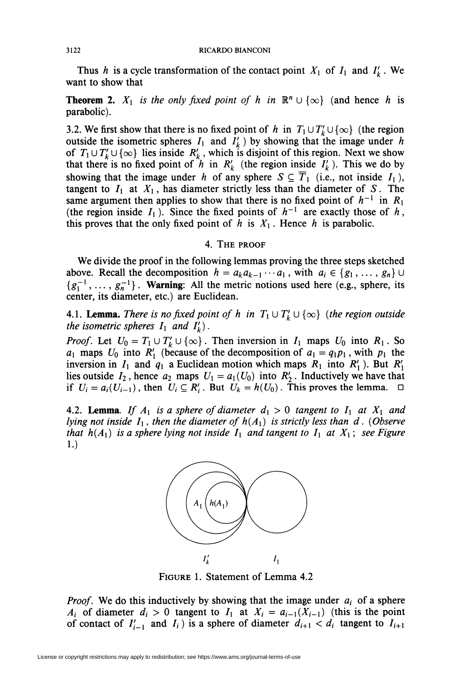Thus h is a cycle transformation of the contact point  $X_1$  of  $I_1$  and  $I'_k$ . We want to show that

**Theorem 2.**  $X_1$  is the only fixed point of h in  $\mathbb{R}^n \cup \{\infty\}$  (and hence h is parabolic).

3.2. We first show that there is no fixed point of h in  $T_1 \cup T'_k \cup \{\infty\}$  (the region outside the isometric spheres  $I_1$  and  $I'_k$ ) by showing that the image under h of  $T_1 \cup T'_k \cup \{\infty\}$  lies inside  $R'_k$ , which is disjoint of this region. Next we show that there is no fixed point of  $\hat{h}$  in  $R'_k$  (the region inside  $I'_k$ ). This we do by showing that the image under h of any sphere  $S \subseteq \overline{T}_1$  (i.e., not inside  $I_1$ ), tangent to  $I_1$  at  $X_1$ , has diameter strictly less than the diameter of S. The same argument then applies to show that there is no fixed point of  $h^{-1}$  in  $R_1$ (the region inside  $I_1$ ). Since the fixed points of  $h^{-1}$  are exactly those of h, this proves that the only fixed point of h is  $X_1$ . Hence h is parabolic.

# 4. The proof

We divide the proof in the following lemmas proving the three steps sketched above. Recall the decomposition  $h = a_k a_{k-1} \cdots a_1$ , with  $a_i \in \{g_1, \ldots, g_n\}$  $\{g_1^{-1}, \ldots, g_n^{-1}\}\.$  Warning: All the metric notions used here (e.g., sphere, its center, its diameter, etc.) are Euclidean.

4.1. **Lemma.** There is no fixed point of h in  $T_1 \cup T'_k \cup \{\infty\}$  (the region outside the isometric spheres  $I_1$  and  $I'_k$ .

*Proof.* Let  $U_0 = T_1 \cup T'_k \cup \{\infty\}$ . Then inversion in  $I_1$  maps  $U_0$  into  $R_1$ . So  $a_1$  maps  $U_0$  into  $R'_1$  (because of the decomposition of  $a_1 = q_1p_1$ , with  $p_1$  the inversion in  $I_1$  and  $q_1$  a Euclidean motion which maps  $R_1$  into  $R'_1$ ). But  $R'_1$ lies outside  $I_2$ , hence  $a_2$  maps  $U_1 = a_1(U_0)$  into  $R'_2$ . Inductively we have that if  $U_i = a_i(U_{i-1})$ , then  $U_i \subseteq R'_i$ . But  $U_k = h(U_0)$ . This proves the lemma.  $\Box$ 

4.2. **Lemma**. If  $A_1$  is a sphere of diameter  $d_1 > 0$  tangent to  $I_1$  at  $X_1$  and lying not inside  $I_1$ , then the diameter of  $h(A_1)$  is strictly less than d. (Observe that  $h(A_1)$  is a sphere lying not inside  $I_1$  and tangent to  $I_1$  at  $X_1$ ; see Figure 1.)



Figure 1. Statement of Lemma 4.2

*Proof.* We do this inductively by showing that the image under  $a_i$  of a sphere  $A_i$  of diameter  $d_i > 0$  tangent to  $I_1$  at  $X_i = a_{i-1}(X_{i-1})$  (this is the point of contact of  $I'_{i-1}$  and  $I_i$ ) is a sphere of diameter  $d_{i+1} < d_i$  tangent to  $I_{i+1}$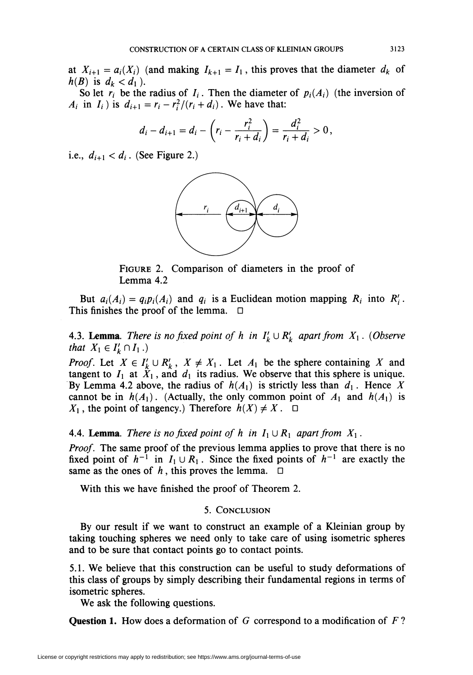at  $X_{i+1} = a_i(X_i)$  (and making  $I_{k+1} = I_1$ , this proves that the diameter  $d_k$  of  $h(B)$  is  $d_k < d_1$ ).

So let  $r_i$  be the radius of  $I_i$ . Then the diameter of  $p_i(A_i)$  (the inversion of  $A_i$  in  $I_i$ ) is  $d_{i+1} = r_i - r_i^2/(r_i + d_i)$ . We have that:

$$
d_i - d_{i+1} = d_i - \left(r_i - \frac{r_i^2}{r_i + d_i}\right) = \frac{d_i^2}{r_i + d_i} > 0,
$$

i.e.,  $d_{i+1} < d_i$ . (See Figure 2.)



FIGURE 2. Comparison of diameters in the proof of Lemma 4.2

But  $a_i(A_i) = q_i p_i(A_i)$  and  $q_i$  is a Euclidean motion mapping  $R_i$  into  $R'_i$ . This finishes the proof of the lemma.  $\Box$ 

**4.3. Lemma.** There is no fixed point of h in  $I'_k \cup R'_k$  apart from  $X_1$ . (Observe that  $X_1 \in I'_k \cap I_1$ .)

*Proof.* Let  $X \in I'_k \cup R'_k$ ,  $X \neq X_1$ . Let  $A_1$  be the sphere containing X and tangent to  $I_1$  at  $X_1$ , and  $d_1$  its radius. We observe that this sphere is unique. By Lemma 4.2 above, the radius of  $h(A_1)$  is strictly less than  $d_1$ . Hence X cannot be in  $h(A_1)$ . (Actually, the only common point of  $A_1$  and  $h(A_1)$  is  $X_1$ , the point of tangency.) Therefore  $h(X) \neq X$ .  $\Box$ 

4.4. **Lemma**. There is no fixed point of h in  $I_1 \cup R_1$  apart from  $X_1$ .

Proof. The same proof of the previous lemma applies to prove that there is no fixed point of  $h^{-1}$  in  $I_1 \cup R_1$ . Since the fixed points of  $h^{-1}$  are exactly the same as the ones of  $h$ , this proves the lemma.

With this we have finished the proof of Theorem 2.

### 5. Conclusion

By our result if we want to construct an example of a Kleinian group by taking touching spheres we need only to take care of using isometric spheres and to be sure that contact points go to contact points.

5.1. We believe that this construction can be useful to study deformations of this class of groups by simply describing their fundamental regions in terms of isometric spheres.

We ask the following questions.

**Question 1.** How does a deformation of G correspond to a modification of  $F$ ?